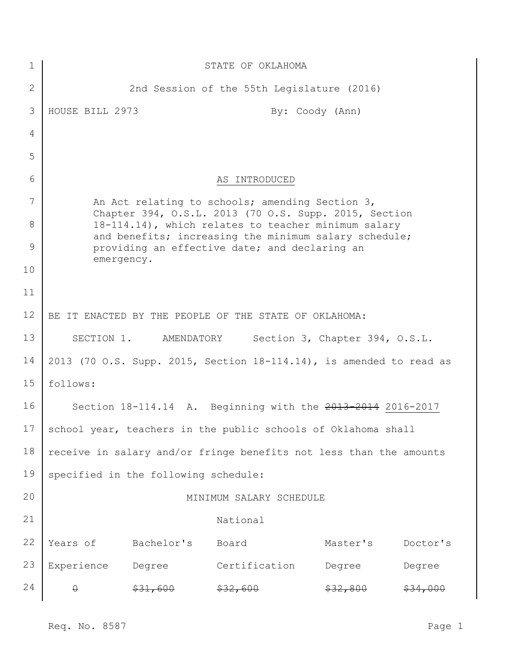| $\mathbf 1$ | STATE OF OKLAHOMA                                                                                                                                                     |                                      |                                                 |          |          |
|-------------|-----------------------------------------------------------------------------------------------------------------------------------------------------------------------|--------------------------------------|-------------------------------------------------|----------|----------|
| 2           |                                                                                                                                                                       |                                      | 2nd Session of the 55th Legislature (2016)      |          |          |
| 3           | HOUSE BILL 2973                                                                                                                                                       |                                      | By: Coody (Ann)                                 |          |          |
| 4           |                                                                                                                                                                       |                                      |                                                 |          |          |
| 5           |                                                                                                                                                                       |                                      |                                                 |          |          |
| 6           |                                                                                                                                                                       |                                      | AS INTRODUCED                                   |          |          |
| 7           |                                                                                                                                                                       |                                      | An Act relating to schools; amending Section 3, |          |          |
| 8           | Chapter 394, O.S.L. 2013 (70 O.S. Supp. 2015, Section<br>18-114.14), which relates to teacher minimum salary<br>and benefits; increasing the minimum salary schedule; |                                      |                                                 |          |          |
| 9           | providing an effective date; and declaring an<br>emergency.                                                                                                           |                                      |                                                 |          |          |
| 10          |                                                                                                                                                                       |                                      |                                                 |          |          |
| 11          |                                                                                                                                                                       |                                      |                                                 |          |          |
| 12          | BE IT ENACTED BY THE PEOPLE OF THE STATE OF OKLAHOMA:                                                                                                                 |                                      |                                                 |          |          |
| 13          | SECTION 1. AMENDATORY<br>Section 3, Chapter 394, O.S.L.                                                                                                               |                                      |                                                 |          |          |
| 14          | 2013 (70 O.S. Supp. 2015, Section 18-114.14), is amended to read as                                                                                                   |                                      |                                                 |          |          |
| 15          | follows:                                                                                                                                                              |                                      |                                                 |          |          |
| 16          | Section 18-114.14 A. Beginning with the 2013-2014 2016-2017                                                                                                           |                                      |                                                 |          |          |
| 17          | school year, teachers in the public schools of Oklahoma shall                                                                                                         |                                      |                                                 |          |          |
| 18          | receive in salary and/or fringe benefits not less than the amounts                                                                                                    |                                      |                                                 |          |          |
| 19          |                                                                                                                                                                       | specified in the following schedule: |                                                 |          |          |
| 20          |                                                                                                                                                                       |                                      | MINIMUM SALARY SCHEDULE                         |          |          |
| 21          |                                                                                                                                                                       |                                      | National                                        |          |          |
| 22          | Years of                                                                                                                                                              | Bachelor's                           | Board                                           | Master's | Doctor's |
| 23          | Experience Degree                                                                                                                                                     |                                      | Certification                                   | Degree   | Degree   |
| 24          | $\theta$                                                                                                                                                              | \$31,600                             | \$32,600                                        | \$32,800 | \$34,000 |

Req. No. 8587 Page 1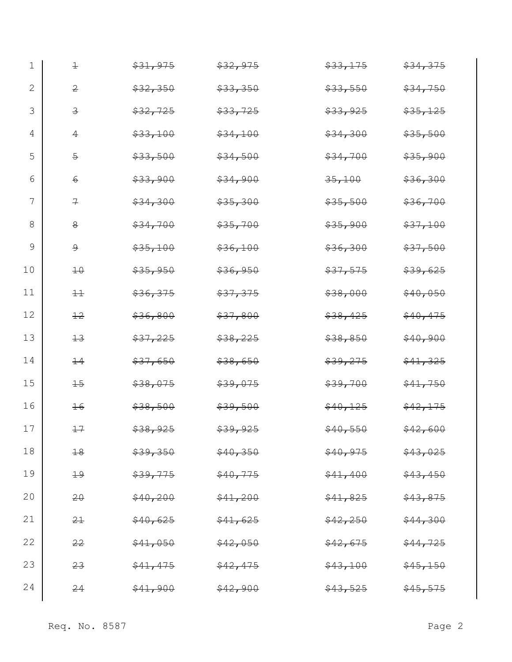| 1  | $\pm$           | \$31,975 | \$32,975 | \$33,175 | \$34,375 |
|----|-----------------|----------|----------|----------|----------|
| 2  | $\overline{2}$  | \$32,350 | \$33,350 | \$33,550 | \$34,750 |
| 3  | $\overline{3}$  | \$32,725 | \$33,725 | \$33,925 | \$35,125 |
| 4  | $\overline{4}$  | \$33,100 | \$34,100 | \$34,300 | \$35,500 |
| 5  | $\overline{5}$  | \$33,500 | \$34,500 | \$34,700 | \$35,900 |
| 6  | $6\overline{6}$ | \$33,900 | \$34,900 | 35,100   | \$36,300 |
| 7  | $\overline{r}$  | \$34,300 | \$35,300 | \$35,500 | \$36,700 |
| 8  | $\mathbf{8}$    | \$34,700 | \$35,700 | \$35,900 | \$37,100 |
| 9  | $\overline{9}$  | \$35,100 | \$36,100 | \$36,300 | \$37,500 |
| 10 | 10              | \$35,950 | \$36,950 | \$37,575 | \$39,625 |
| 11 | $\pm$           | \$36,375 | \$37,375 | \$38,000 | \$40,050 |
| 12 | 12              | \$36,800 | \$37,800 | \$38,425 | \$40,475 |
| 13 | $+3$            | \$37,225 | \$38,225 | \$38,850 | \$40,900 |
| 14 | $\pm 4$         | \$37,650 | \$38,650 | \$39,275 | \$41,325 |
| 15 | $+5$            | \$38,075 | \$39,075 | \$39,700 | \$41,750 |
| 16 | $16$            | \$38,500 | \$39,500 | \$40,125 | \$42,175 |
| 17 | $+7$            | \$38,925 | \$39,925 | \$40,550 | \$42,600 |
| 18 | 18              | \$39,350 | \$40,350 | \$40,975 | \$43,025 |
| 19 | $+9$            | \$39,775 | \$40,775 | \$41,400 | \$43,450 |
| 20 | $20 -$          | \$40,200 | \$41,200 | \$41,825 | \$43,875 |
| 21 | 2 <sup>1</sup>  | \$40,625 | \$41,625 | \$42,250 | \$44,300 |
| 22 | 22              | \$41,050 | \$42,050 | \$42,675 | \$44,725 |
| 23 | 23              | \$41,475 | \$42,475 | \$43,100 | \$45,150 |
| 24 | 24              | \$41,900 | \$42,900 | \$43,525 | \$45,575 |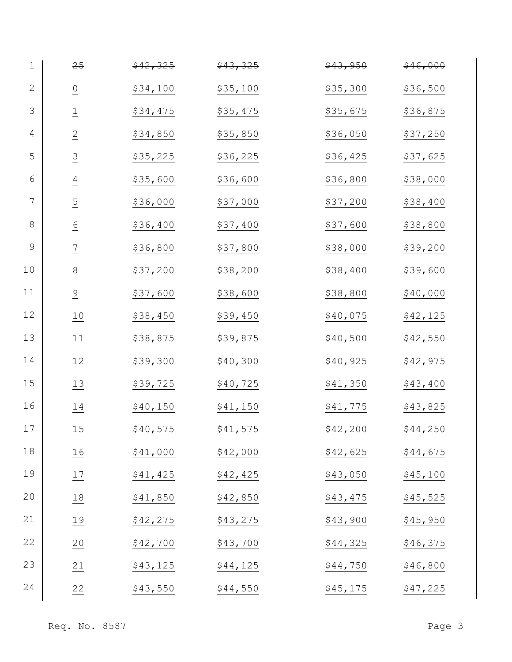| $1\,$           | 25                 | \$42,325 | \$43,325 | \$43,950  | \$46,000 |
|-----------------|--------------------|----------|----------|-----------|----------|
| $\sqrt{2}$      | $\overline{0}$     | \$34,100 | \$35,100 | \$35,300  | \$36,500 |
| 3               | $\overline{\perp}$ | \$34,475 | \$35,475 | \$35,675  | \$36,875 |
| $\overline{4}$  | $\overline{2}$     | \$34,850 | \$35,850 | \$36,050  | \$37,250 |
| 5               | $\overline{3}$     | \$35,225 | \$36,225 | \$36,425  | \$37,625 |
| $6\phantom{1}6$ | $\overline{4}$     | \$35,600 | \$36,600 | \$36,800  | \$38,000 |
| $\overline{7}$  | $\overline{5}$     | \$36,000 | \$37,000 | \$37,200  | \$38,400 |
| 8               | $\underline{6}$    | \$36,400 | \$37,400 | \$37,600  | \$38,800 |
| 9               | $\frac{7}{2}$      | \$36,800 | \$37,800 | \$38,000  | \$39,200 |
| 10              | 8                  | \$37,200 | \$38,200 | \$38,400  | \$39,600 |
| 11              | $\frac{9}{1}$      | \$37,600 | \$38,600 | \$38,800  | \$40,000 |
| 12              | $\underline{10}$   | \$38,450 | \$39,450 | \$40,075  | \$42,125 |
| 13              | 11                 | \$38,875 | \$39,875 | \$40,500  | \$42,550 |
| 14              | 12                 | \$39,300 | \$40,300 | \$40,925  | \$42,975 |
| 15              | $\frac{13}{1}$     | \$39,725 | \$40,725 | \$41,350  | \$43,400 |
| 16              | 14                 | \$40,150 | \$41,150 | \$41,775  | \$43,825 |
| 17              | $\underline{15}$   | \$40,575 | \$41,575 | \$42,200  | \$44,250 |
| 18              | $\underline{16}$   | \$41,000 | \$42,000 | \$42,625  | \$44,675 |
| 19              | 17                 | \$41,425 | \$42,425 | \$43,050  | \$45,100 |
| 20              | $\underline{18}$   | \$41,850 | \$42,850 | \$43,475  | \$45,525 |
| 21              | 19                 | \$42,275 | \$43,275 | \$43,900  | \$45,950 |
| 22              | $\frac{20}{1}$     | \$42,700 | \$43,700 | \$44,325  | \$46,375 |
| 23              | 21                 | \$43,125 | \$44,125 | \$44,750  | \$46,800 |
| 24              | 22                 | \$43,550 | \$44,550 | \$45, 175 | \$47,225 |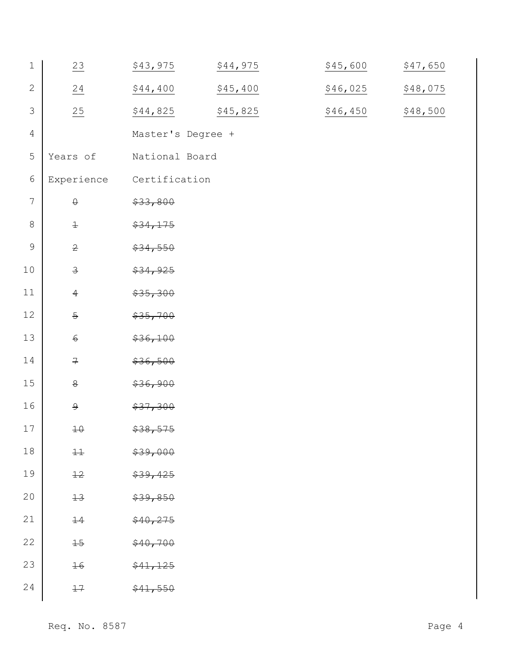| $1\,$           | $\frac{23}{2}$          | \$43,975          | \$44,975 | \$45,600 | \$47,650 |
|-----------------|-------------------------|-------------------|----------|----------|----------|
| $\mathbf{2}$    | 24                      | \$44,400          | \$45,400 | \$46,025 | \$48,075 |
| $\mathfrak{Z}$  | 25                      | \$44,825          | \$45,825 | \$46,450 | \$48,500 |
| $\overline{4}$  |                         | Master's Degree + |          |          |          |
| $\mathsf S$     | Years of                | National Board    |          |          |          |
| $\epsilon$      | Experience              | Certification     |          |          |          |
| $7\phantom{.0}$ | $\Theta$                | \$33,800          |          |          |          |
| $\,8\,$         | $\pm$                   | \$34,175          |          |          |          |
| $\mathsf 9$     | $\overline{2}$          | \$34,550          |          |          |          |
| $10$            | $\overline{\mathbf{3}}$ | \$34,925          |          |          |          |
| $11\,$          | $\overline{4}$          | \$35,300          |          |          |          |
| 12              | $\overline{\Theta}$     | \$35,700          |          |          |          |
| 13              | $\epsilon$              | \$36,100          |          |          |          |
| 14              | $\mathcal I$            | \$36,500          |          |          |          |
| 15              | $\overline{8}$          | \$36,900          |          |          |          |
| 16              | $\overline{9}$          | \$37,300          |          |          |          |
| 17              | $\pm \theta$            | \$38,575          |          |          |          |
| 18              | $\pm\pm$                | \$39,000          |          |          |          |
| 19              | $+2$                    | \$39,425          |          |          |          |
| 20              | $+3$                    | \$39,850          |          |          |          |
| 21              | $+4$                    | \$40,275          |          |          |          |
| 22              | $\pm$                   | \$40,700          |          |          |          |
| 23              | ±6                      | \$41,125          |          |          |          |
| 24              | 17                      | \$41,550          |          |          |          |
|                 |                         |                   |          |          |          |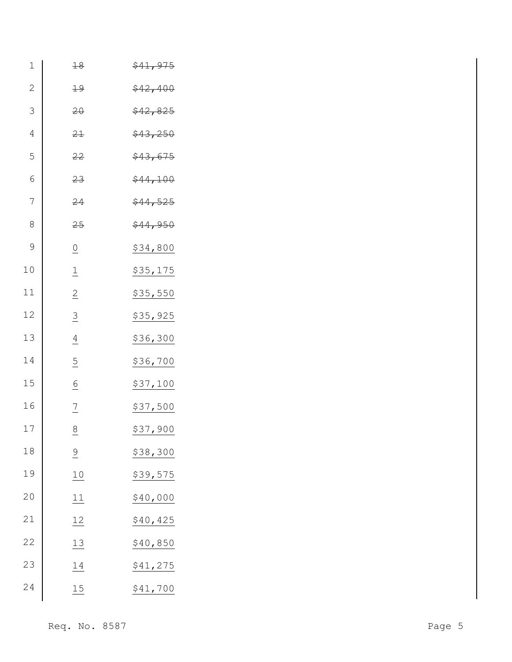| $\mathbf 1$    | 18                        | \$41,975 |        |
|----------------|---------------------------|----------|--------|
| $\mathbf{2}$   | $+9$                      | \$42,400 |        |
| $\mathcal{S}$  | $20 -$                    | \$42,825 |        |
| $\overline{4}$ | 21                        | \$43,250 |        |
| 5              | 22                        | \$43,675 |        |
| $\sqrt{6}$     | 23                        | \$44,100 |        |
| $\sqrt{ }$     | 24                        | \$44,525 |        |
| $8\,$          | 25                        | \$44,950 |        |
| $\mathcal{G}$  | $\underline{\mathbf{O}}$  | \$34,800 |        |
| 10             | $\underline{\mathbbm{1}}$ | \$35,175 |        |
| 11             | $\overline{2}$            | \$35,550 |        |
| 12             | $\overline{3}$            | \$35,925 |        |
| 13             | $\underline{4}$           | \$36,300 |        |
| 14             | $\overline{5}$            | \$36,700 |        |
| 15             | $\underline{6}$           | \$37,100 |        |
| 16             | $\frac{7}{1}$             | \$37,500 |        |
| 17             | $\frac{8}{1}$             | \$37,900 |        |
| $1\,8$         | $\frac{9}{1}$             | \$38,300 |        |
| 19             | $\underline{10}$          | \$39,575 |        |
| 20             | 11                        | \$40,000 |        |
| 21             | 12                        | \$40,425 |        |
| 22             | 13                        | \$40,850 |        |
| 23             | 14                        | \$41,275 |        |
| 24             | $\underline{15}$          | \$41,700 |        |
|                |                           |          |        |
|                | Req. No. 8587             |          | Page 5 |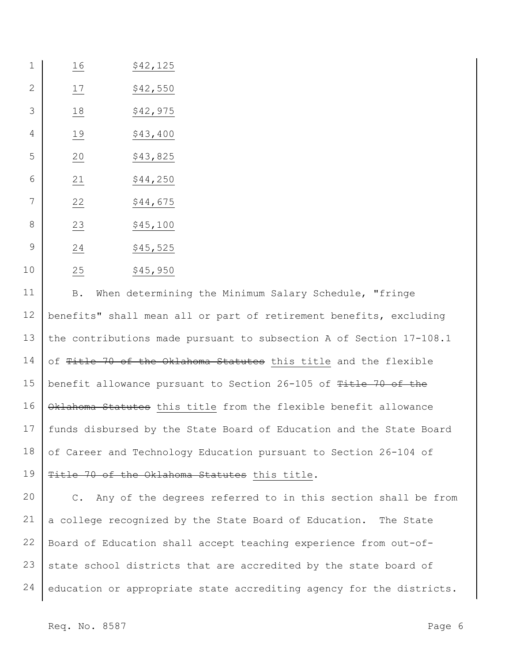| 1              | 16 | \$42,125 |
|----------------|----|----------|
| $\overline{2}$ | 17 | \$42,550 |
| 3              | 18 | \$42,975 |
| 4              | 19 | \$43,400 |
| 5              | 20 | \$43,825 |
| 6              | 21 | \$44,250 |
| 7              | 22 | \$44,675 |
| 8              | 23 | \$45,100 |
| 9              | 24 | \$45,525 |
| 10             | 25 | \$45,950 |

 B. When determining the Minimum Salary Schedule, "fringe benefits" shall mean all or part of retirement benefits, excluding the contributions made pursuant to subsection A of Section 17-108.1 of Title 70 of the Oklahoma Statutes this title and the flexible benefit allowance pursuant to Section 26-105 of Title 70 of the Oklahoma Statutes this title from the flexible benefit allowance funds disbursed by the State Board of Education and the State Board of Career and Technology Education pursuant to Section 26-104 of Title 70 of the Oklahoma Statutes this title.

 C. Any of the degrees referred to in this section shall be from a college recognized by the State Board of Education. The State Board of Education shall accept teaching experience from out-ofstate school districts that are accredited by the state board of education or appropriate state accrediting agency for the districts.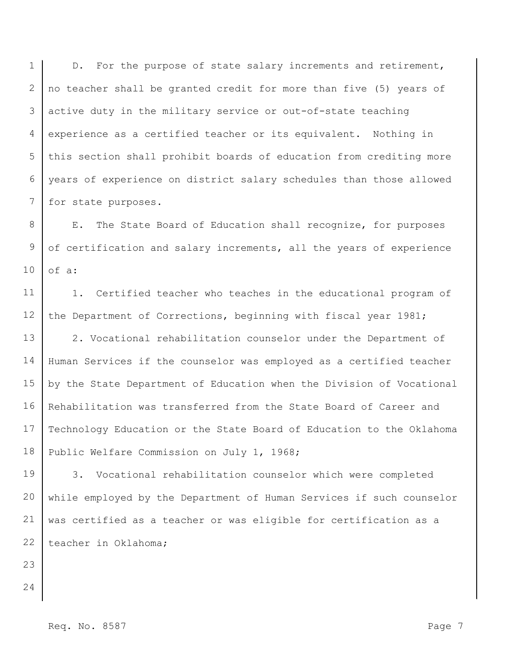1 2 3 4 5 6 7 D. For the purpose of state salary increments and retirement, no teacher shall be granted credit for more than five (5) years of active duty in the military service or out-of-state teaching experience as a certified teacher or its equivalent. Nothing in this section shall prohibit boards of education from crediting more years of experience on district salary schedules than those allowed for state purposes.

8 9 10 E. The State Board of Education shall recognize, for purposes of certification and salary increments, all the years of experience of a:

11 12 1. Certified teacher who teaches in the educational program of the Department of Corrections, beginning with fiscal year 1981;

13 14 15 16 17 18 2. Vocational rehabilitation counselor under the Department of Human Services if the counselor was employed as a certified teacher by the State Department of Education when the Division of Vocational Rehabilitation was transferred from the State Board of Career and Technology Education or the State Board of Education to the Oklahoma Public Welfare Commission on July 1, 1968;

19 20 21 22 3. Vocational rehabilitation counselor which were completed while employed by the Department of Human Services if such counselor was certified as a teacher or was eligible for certification as a teacher in Oklahoma;

- 23 24
- Req. No. 8587 Page 7